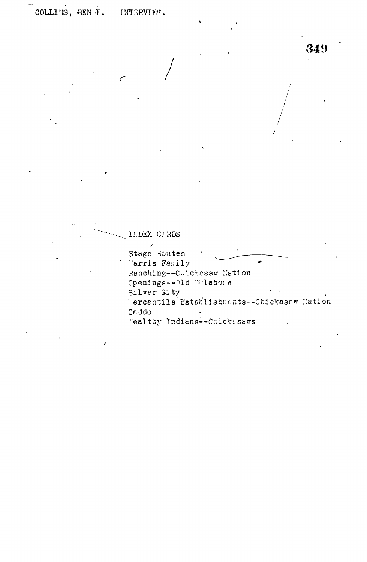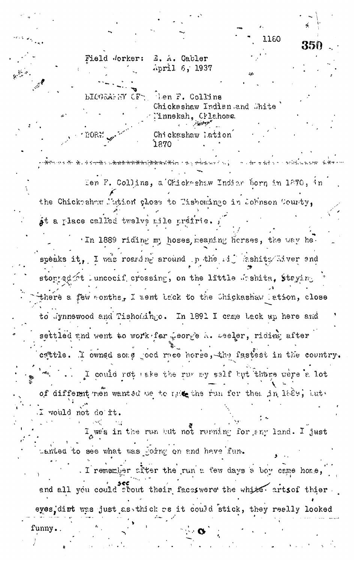1160

351

Field Jorker: E. A. Cabler April 6, 1937

**BIOGRAPHY CFT** 

EORE

len F. Collins Chickashaw Indian and Chite 'innekah, Crlahoma Partner <sub>an</sub> Chickashaw lation 1870

Len F. Collins, a Chickeshaw Indian born in 1270, in the Chickshaw Nation close to Tishomingo in Johnson County, at a place called twelve mile práirie.

<del>standar se de la secreta de la parte de la partida de la seguna de la comunicación de la seguna de la parte de</del>

In 1889 riding my hoses, meaning herses, the way hespeaks it, I was roanding around p the mij lashits liver and stopped ot luncocif crossing, on the little deshita, staying there a few wonths, I went tack to the Chickashaw lation, close to Jynnewood and Tishomingo. In 1891 I came back up here and settled and went to work far weorge a. Leeler, riding after cattle. I cwned sone joed race horse, the fastest in the country. I could rot take the rur my self but there were a lot of different men wanted me to make the run fer then in 1689, but. I would not do it.

I we's in the run but not running for any land. I just Lanted to see what was joing on and have fun.

. I remember after the run a few days a boy came home, and all you could sbout their faceswere the white arts of thier eyes dirt was just as thick as it could stick, they really looked

funny.